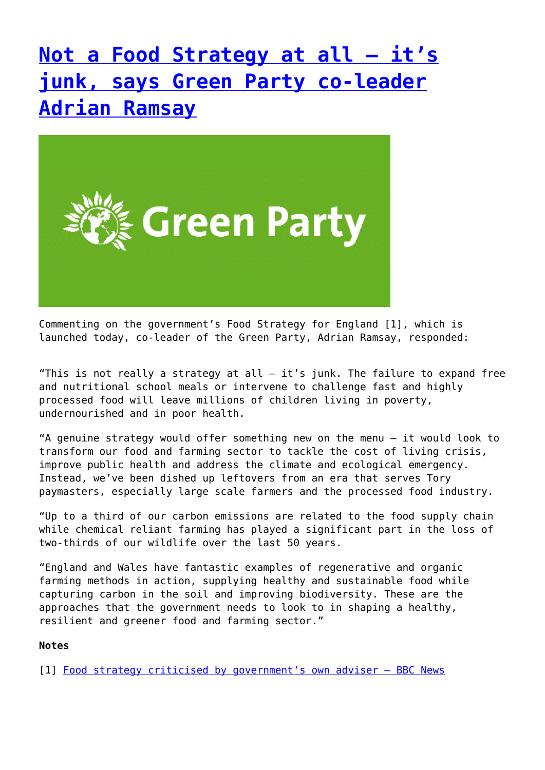## **[Not a Food Strategy at all – it's](http://www.government-world.com/not-a-food-strategy-at-all-its-junk-says-green-party-co-leader-adrian-ramsay/) [junk, says Green Party co-leader](http://www.government-world.com/not-a-food-strategy-at-all-its-junk-says-green-party-co-leader-adrian-ramsay/) [Adrian Ramsay](http://www.government-world.com/not-a-food-strategy-at-all-its-junk-says-green-party-co-leader-adrian-ramsay/)**



Commenting on the government's Food Strategy for England [1], which is launched today, co-leader of the Green Party, Adrian Ramsay, responded:

"This is not really a strategy at all  $-$  it's junk. The failure to expand free and nutritional school meals or intervene to challenge fast and highly processed food will leave millions of children living in poverty, undernourished and in poor health.

"A genuine strategy would offer something new on the menu – it would look to transform our food and farming sector to tackle the cost of living crisis, improve public health and address the climate and ecological emergency. Instead, we've been dished up leftovers from an era that serves Tory paymasters, especially large scale farmers and the processed food industry.

"Up to a third of our carbon emissions are related to the food supply chain while chemical reliant farming has played a significant part in the loss of two-thirds of our wildlife over the last 50 years.

"England and Wales have fantastic examples of regenerative and organic farming methods in action, supplying healthy and sustainable food while capturing carbon in the soil and improving biodiversity. These are the approaches that the government needs to look to in shaping a healthy, resilient and greener food and farming sector."

#### **Notes**

[1] [Food strategy criticised by government's own adviser – BBC News](https://www.bbc.co.uk/news/science-environment-61778967)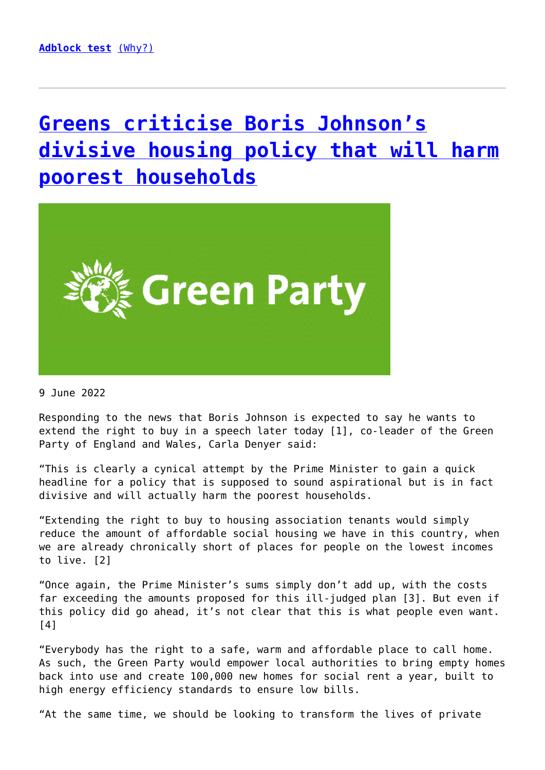# **[Greens criticise Boris Johnson's](http://www.government-world.com/greens-criticise-boris-johnsons-divisive-housing-policy-that-will-harm-poorest-households/) [divisive housing policy that will harm](http://www.government-world.com/greens-criticise-boris-johnsons-divisive-housing-policy-that-will-harm-poorest-households/) [poorest households](http://www.government-world.com/greens-criticise-boris-johnsons-divisive-housing-policy-that-will-harm-poorest-households/)**



9 June 2022

Responding to the news that Boris Johnson is expected to say he wants to extend the right to buy in a speech later today [1], co-leader of the Green Party of England and Wales, Carla Denyer said:

"This is clearly a cynical attempt by the Prime Minister to gain a quick headline for a policy that is supposed to sound aspirational but is in fact divisive and will actually harm the poorest households.

"Extending the right to buy to housing association tenants would simply reduce the amount of affordable social housing we have in this country, when we are already chronically short of places for people on the lowest incomes to live. [2]

"Once again, the Prime Minister's sums simply don't add up, with the costs far exceeding the amounts proposed for this ill-judged plan [3]. But even if this policy did go ahead, it's not clear that this is what people even want.  $[4]$ 

"Everybody has the right to a safe, warm and affordable place to call home. As such, the Green Party would empower local authorities to bring empty homes back into use and create 100,000 new homes for social rent a year, built to high energy efficiency standards to ensure low bills.

"At the same time, we should be looking to transform the lives of private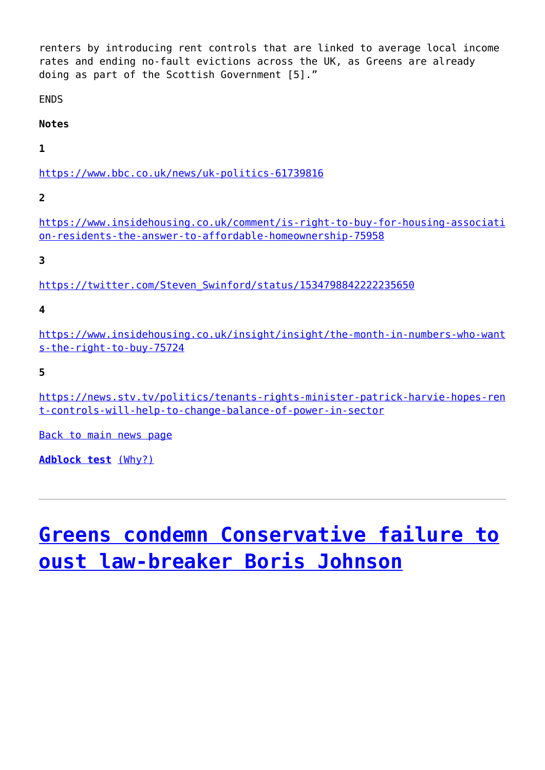renters by introducing rent controls that are linked to average local income rates and ending no-fault evictions across the UK, as Greens are already doing as part of the Scottish Government [5]."

**FNDS** 

**Notes**

**1**

<https://www.bbc.co.uk/news/uk-politics-61739816>

**2**

[https://www.insidehousing.co.uk/comment/is-right-to-buy-for-housing-associati](https://www.insidehousing.co.uk/comment/is-right-to-buy-for-housing-association-residents-the-answer-to-affordable-homeownership-75958) [on-residents-the-answer-to-affordable-homeownership-75958](https://www.insidehousing.co.uk/comment/is-right-to-buy-for-housing-association-residents-the-answer-to-affordable-homeownership-75958)

**3**

[https://twitter.com/Steven\\_Swinford/status/1534798842222235650](https://twitter.com/Steven_Swinford/status/1534798842222235650)

**4**

[https://www.insidehousing.co.uk/insight/insight/the-month-in-numbers-who-want](https://www.insidehousing.co.uk/insight/insight/the-month-in-numbers-who-wants-the-right-to-buy-75724) [s-the-right-to-buy-75724](https://www.insidehousing.co.uk/insight/insight/the-month-in-numbers-who-wants-the-right-to-buy-75724)

**5**

[https://news.stv.tv/politics/tenants-rights-minister-patrick-harvie-hopes-ren](https://news.stv.tv/politics/tenants-rights-minister-patrick-harvie-hopes-rent-controls-will-help-to-change-balance-of-power-in-sector) [t-controls-will-help-to-change-balance-of-power-in-sector](https://news.stv.tv/politics/tenants-rights-minister-patrick-harvie-hopes-rent-controls-will-help-to-change-balance-of-power-in-sector)

[Back to main news page](https://www.greenparty.org.uk/news/)

**[Adblock test](https://blockads.fivefilters.org/)** [\(Why?\)](https://blockads.fivefilters.org/acceptable.html)

# **[Greens condemn Conservative failure to](http://www.government-world.com/greens-condemn-conservative-failure-to-oust-law-breaker-boris-johnson/) [oust law-breaker Boris Johnson](http://www.government-world.com/greens-condemn-conservative-failure-to-oust-law-breaker-boris-johnson/)**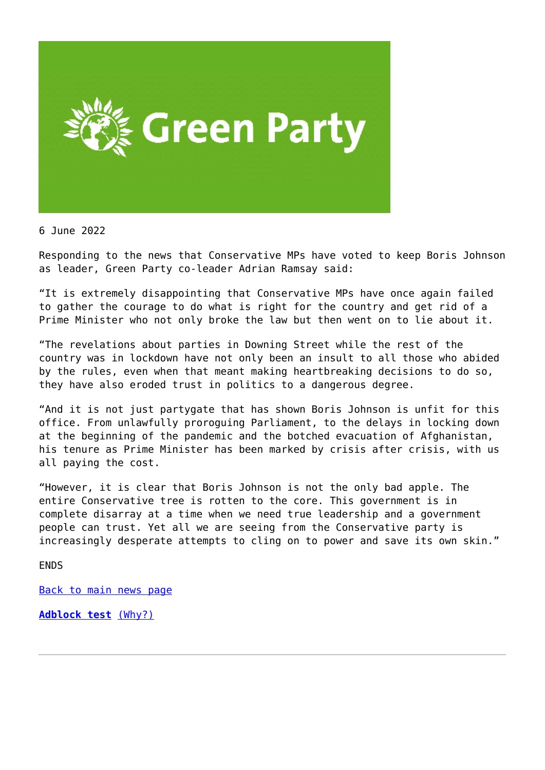

6 June 2022

Responding to the news that Conservative MPs have voted to keep Boris Johnson as leader, Green Party co-leader Adrian Ramsay said:

"It is extremely disappointing that Conservative MPs have once again failed to gather the courage to do what is right for the country and get rid of a Prime Minister who not only broke the law but then went on to lie about it.

"The revelations about parties in Downing Street while the rest of the country was in lockdown have not only been an insult to all those who abided by the rules, even when that meant making heartbreaking decisions to do so, they have also eroded trust in politics to a dangerous degree.

"And it is not just partygate that has shown Boris Johnson is unfit for this office. From unlawfully proroguing Parliament, to the delays in locking down at the beginning of the pandemic and the botched evacuation of Afghanistan, his tenure as Prime Minister has been marked by crisis after crisis, with us all paying the cost.

"However, it is clear that Boris Johnson is not the only bad apple. The entire Conservative tree is rotten to the core. This government is in complete disarray at a time when we need true leadership and a government people can trust. Yet all we are seeing from the Conservative party is increasingly desperate attempts to cling on to power and save its own skin."

**FNDS** 

[Back to main news page](https://www.greenparty.org.uk/news/)

**[Adblock test](https://blockads.fivefilters.org/)** [\(Why?\)](https://blockads.fivefilters.org/acceptable.html)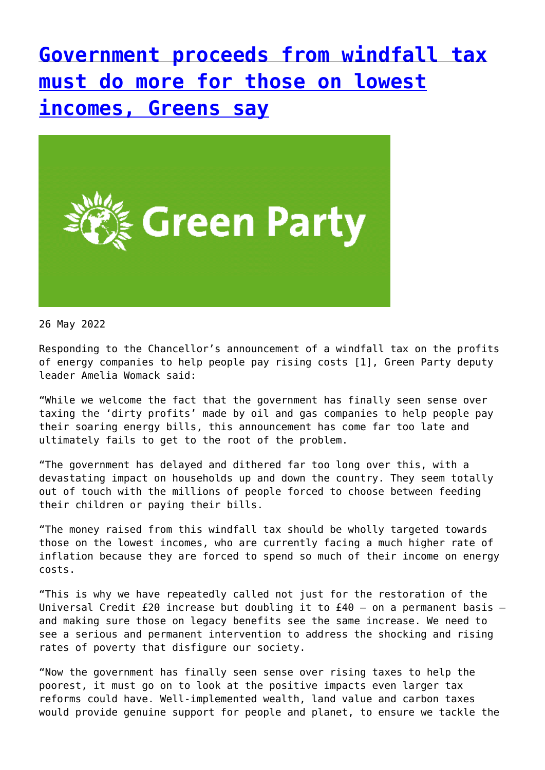**[Government proceeds from windfall tax](http://www.government-world.com/government-proceeds-from-windfall-tax-must-do-more-for-those-on-lowest-incomes-greens-say/) [must do more for those on lowest](http://www.government-world.com/government-proceeds-from-windfall-tax-must-do-more-for-those-on-lowest-incomes-greens-say/) [incomes, Greens say](http://www.government-world.com/government-proceeds-from-windfall-tax-must-do-more-for-those-on-lowest-incomes-greens-say/)**



26 May 2022

Responding to the Chancellor's announcement of a windfall tax on the profits of energy companies to help people pay rising costs [1], Green Party deputy leader Amelia Womack said:

"While we welcome the fact that the government has finally seen sense over taxing the 'dirty profits' made by oil and gas companies to help people pay their soaring energy bills, this announcement has come far too late and ultimately fails to get to the root of the problem.

"The government has delayed and dithered far too long over this, with a devastating impact on households up and down the country. They seem totally out of touch with the millions of people forced to choose between feeding their children or paying their bills.

"The money raised from this windfall tax should be wholly targeted towards those on the lowest incomes, who are currently facing a much higher rate of inflation because they are forced to spend so much of their income on energy costs.

"This is why we have repeatedly called not just for the restoration of the Universal Credit £20 increase but doubling it to  $£40 - on$  a permanent basis  $$ and making sure those on legacy benefits see the same increase. We need to see a serious and permanent intervention to address the shocking and rising rates of poverty that disfigure our society.

"Now the government has finally seen sense over rising taxes to help the poorest, it must go on to look at the positive impacts even larger tax reforms could have. Well-implemented wealth, land value and carbon taxes would provide genuine support for people and planet, to ensure we tackle the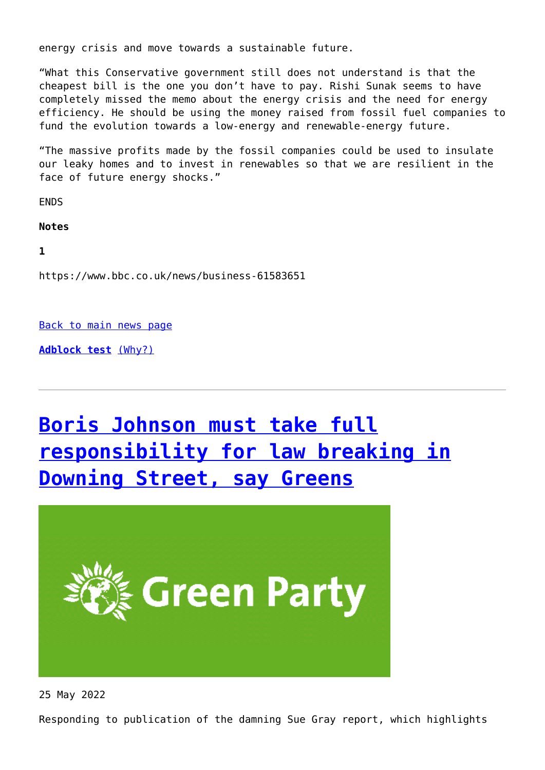energy crisis and move towards a sustainable future.

"What this Conservative government still does not understand is that the cheapest bill is the one you don't have to pay. Rishi Sunak seems to have completely missed the memo about the energy crisis and the need for energy efficiency. He should be using the money raised from fossil fuel companies to fund the evolution towards a low-energy and renewable-energy future.

"The massive profits made by the fossil companies could be used to insulate our leaky homes and to invest in renewables so that we are resilient in the face of future energy shocks."

**FNDS** 

**Notes**

**1**

https://www.bbc.co.uk/news/business-61583651

[Back to main news page](https://www.greenparty.org.uk/news/)

**[Adblock test](https://blockads.fivefilters.org/)** [\(Why?\)](https://blockads.fivefilters.org/acceptable.html)

# **[Boris Johnson must take full](http://www.government-world.com/boris-johnson-must-take-full-responsibility-for-law-breaking-in-downing-street-say-greens/) [responsibility for law breaking in](http://www.government-world.com/boris-johnson-must-take-full-responsibility-for-law-breaking-in-downing-street-say-greens/) [Downing Street, say Greens](http://www.government-world.com/boris-johnson-must-take-full-responsibility-for-law-breaking-in-downing-street-say-greens/)**



25 May 2022

Responding to publication of the damning Sue Gray report, which highlights